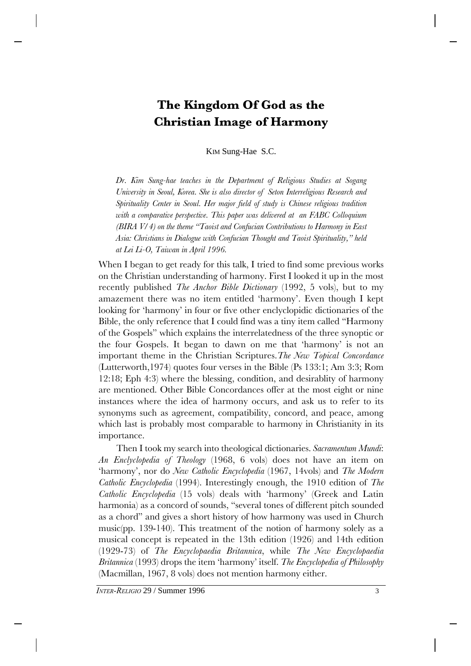# **The Kingdom Of God as the Christian Image of Harmony**

KIM Sung-Hae S.C.

*Dr. Kim Sung-hae teaches in the Department of Religious Studies at Sogang University in Seoul, Korea. She is also director of Seton Interreligious Research and Spirituality Center in Seoul. Her major field of study is Chinese religious tradition with a comparative perspective. This paper was delivered at an FABC Colloquium (BIRA V/4) on the theme "Taoist and Confucian Contributions to Harmony in East Asia: Christians in Dialogue with Confucian Thought and Taoist Spirituality," held at Lei Li-O, Taiwan in April 1996.*

When I began to get ready for this talk, I tried to find some previous works on the Christian understanding of harmony. First I looked it up in the most recently published *The Anchor Bible Dictionary* (1992, 5 vols), but to my amazement there was no item entitled 'harmony'. Even though I kept looking for 'harmony' in four or five other enclyclopidic dictionaries of the Bible, the only reference that I could find was a tiny item called "Harmony of the Gospels" which explains the interrelatedness of the three synoptic or the four Gospels. It began to dawn on me that 'harmony' is not an important theme in the Christian Scriptures.*The New Topical Concordance* (Lutterworth,1974) quotes four verses in the Bible (Ps 133:1; Am 3:3; Rom 12:18; Eph 4:3) where the blessing, condition, and desirablity of harmony are mentioned. Other Bible Concordances offer at the most eight or nine instances where the idea of harmony occurs, and ask us to refer to its synonyms such as agreement, compatibility, concord, and peace, among which last is probably most comparable to harmony in Christianity in its importance.

Then I took my search into theological dictionaries. *Sacramentum Mundi*: *An Enclyclopedia of Theology* (1968, 6 vols) does not have an item on 'harmony', nor do *New Catholic Encyclopedia* (1967, 14vols) and *The Modern Catholic Encyclopedia* (1994). Interestingly enough, the 1910 edition of *The Catholic Encyclopedia* (15 vols) deals with 'harmony' (Greek and Latin harmonia) as a concord of sounds, "several tones of different pitch sounded as a chord" and gives a short history of how harmony was used in Church music(pp. 139-140). This treatment of the notion of harmony solely as a musical concept is repeated in the 13th edition (1926) and 14th edition (1929-73) of *The Encyclopaedia Britannica*, while *The New Encyclopaedia Britannica* (1993) drops the item 'harmony' itself. *The Encyclopedia of Philosophy* (Macmillan, 1967, 8 vols) does not mention harmony either.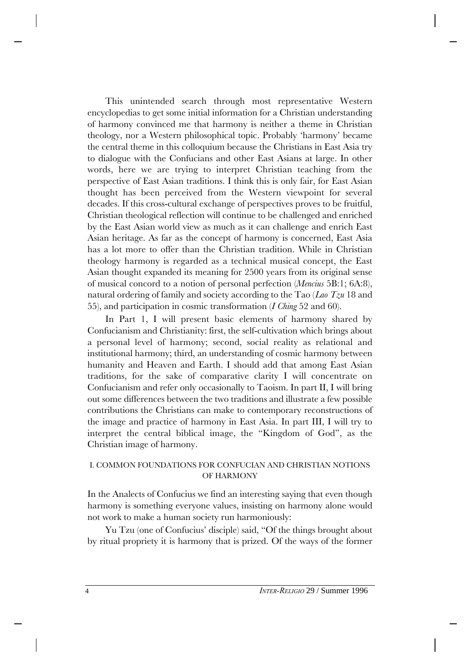This unintended search through most representative Western encyclopedias to get some initial information for a Christian understanding of harmony convinced me that harmony is neither a theme in Christian theology, nor a Western philosophical topic. Probably 'harmony' became the central theme in this colloquium because the Christians in East Asia try to dialogue with the Confucians and other East Asians at large. In other words, here we are trying to interpret Christian teaching from the perspective of East Asian traditions. I think this is only fair, for East Asian thought has been perceived from the Western viewpoint for several decades. If this cross-cultural exchange of perspectives proves to be fruitful, Christian theological reflection will continue to be challenged and enriched by the East Asian world view as much as it can challenge and enrich East Asian heritage. As far as the concept of harmony is concerned, East Asia has a lot more to offer than the Christian tradition. While in Christian theology harmony is regarded as a technical musical concept, the East Asian thought expanded its meaning for 2500 years from its original sense of musical concord to a notion of personal perfection (*Mencius* 5B:1; 6A:8), natural ordering of family and society according to the Tao (*Lao Tzu* 18 and 55), and participation in cosmic transformation (*I Ching* 52 and 60).

In Part 1, I will present basic elements of harmony shared by Confucianism and Christianity: first, the self-cultivation which brings about a personal level of harmony; second, social reality as relational and institutional harmony; third, an understanding of cosmic harmony between humanity and Heaven and Earth. I should add that among East Asian traditions, for the sake of comparative clarity I will concentrate on Confucianism and refer only occasionally to Taoism. In part II, I will bring out some differences between the two traditions and illustrate a few possible contributions the Christians can make to contemporary reconstructions of the image and practice of harmony in East Asia. In part III, I will try to interpret the central biblical image, the "Kingdom of God", as the Christian image of harmony.

#### I. COMMON FOUNDATIONS FOR CONFUCIAN AND CHRISTIAN NOTIONS OF HARMONY

In the Analects of Confucius we find an interesting saying that even though harmony is something everyone values, insisting on harmony alone would not work to make a human society run harmoniously:

Yu Tzu (one of Confucius' disciple) said, "Of the things brought about by ritual propriety it is harmony that is prized. Of the ways of the former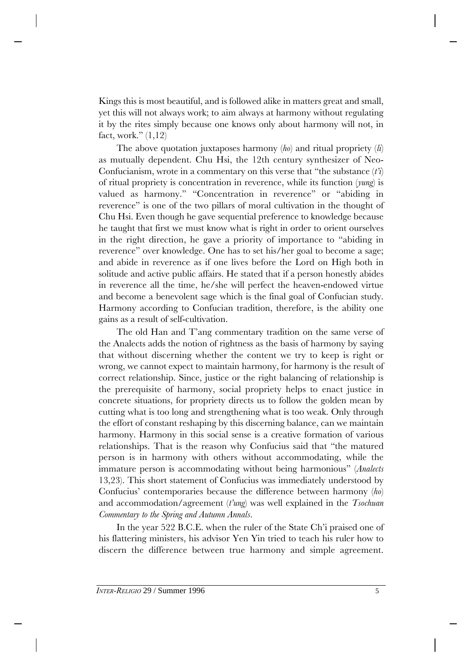Kings this is most beautiful, and is followed alike in matters great and small, yet this will not always work; to aim always at harmony without regulating it by the rites simply because one knows only about harmony will not, in fact, work." (1,12)

The above quotation juxtaposes harmony (*ho*) and ritual propriety (*li*) as mutually dependent. Chu Hsi, the 12th century synthesizer of Neo-Confucianism, wrote in a commentary on this verse that "the substance (*t'i*) of ritual propriety is concentration in reverence, while its function (*yung*) is valued as harmony." "Concentration in reverence" or "abiding in reverence" is one of the two pillars of moral cultivation in the thought of Chu Hsi. Even though he gave sequential preference to knowledge because he taught that first we must know what is right in order to orient ourselves in the right direction, he gave a priority of importance to "abiding in reverence" over knowledge. One has to set his/her goal to become a sage; and abide in reverence as if one lives before the Lord on High both in solitude and active public affairs. He stated that if a person honestly abides in reverence all the time, he/she will perfect the heaven-endowed virtue and become a benevolent sage which is the final goal of Confucian study. Harmony according to Confucian tradition, therefore, is the ability one gains as a result of self-cultivation.

The old Han and T'ang commentary tradition on the same verse of the Analects adds the notion of rightness as the basis of harmony by saying that without discerning whether the content we try to keep is right or wrong, we cannot expect to maintain harmony, for harmony is the result of correct relationship. Since, justice or the right balancing of relationship is the prerequisite of harmony, social propriety helps to enact justice in concrete situations, for propriety directs us to follow the golden mean by cutting what is too long and strengthening what is too weak. Only through the effort of constant reshaping by this discerning balance, can we maintain harmony. Harmony in this social sense is a creative formation of various relationships. That is the reason why Confucius said that "the matured person is in harmony with others without accommodating, while the immature person is accommodating without being harmonious" (*Analects* 13,23). This short statement of Confucius was immediately understood by Confucius' contemporaries because the difference between harmony (*ho*) and accommodation/agreement (*t'ung*) was well explained in the *Tsochuan Commentary to the Spring and Autumn Annals*.

In the year 522 B.C.E. when the ruler of the State Ch'i praised one of his flattering ministers, his advisor Yen Yin tried to teach his ruler how to discern the difference between true harmony and simple agreement.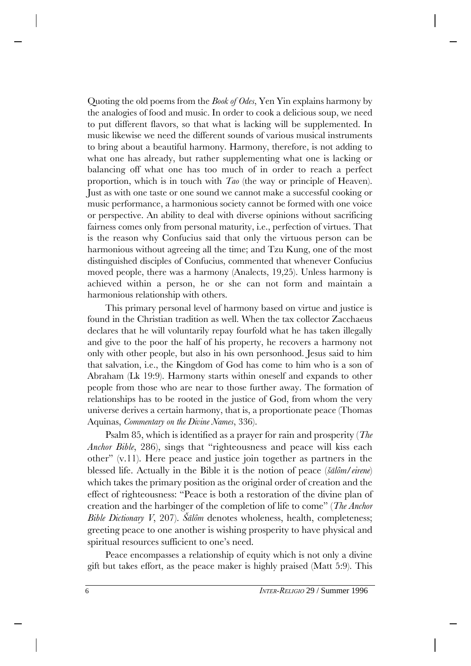Quoting the old poems from the *Book of Odes*, Yen Yin explains harmony by the analogies of food and music. In order to cook a delicious soup, we need to put different flavors, so that what is lacking will be supplemented. In music likewise we need the different sounds of various musical instruments to bring about a beautiful harmony. Harmony, therefore, is not adding to what one has already, but rather supplementing what one is lacking or balancing off what one has too much of in order to reach a perfect proportion, which is in touch with *Tao* (the way or principle of Heaven). Just as with one taste or one sound we cannot make a successful cooking or music performance, a harmonious society cannot be formed with one voice or perspective. An ability to deal with diverse opinions without sacrificing fairness comes only from personal maturity, i.e., perfection of virtues. That is the reason why Confucius said that only the virtuous person can be harmonious without agreeing all the time; and Tzu Kung, one of the most distinguished disciples of Confucius, commented that whenever Confucius moved people, there was a harmony (Analects, 19,25). Unless harmony is achieved within a person, he or she can not form and maintain a harmonious relationship with others.

This primary personal level of harmony based on virtue and justice is found in the Christian tradition as well. When the tax collector Zacchaeus declares that he will voluntarily repay fourfold what he has taken illegally and give to the poor the half of his property, he recovers a harmony not only with other people, but also in his own personhood. Jesus said to him that salvation, i.e., the Kingdom of God has come to him who is a son of Abraham (Lk 19:9). Harmony starts within oneself and expands to other people from those who are near to those further away. The formation of relationships has to be rooted in the justice of God, from whom the very universe derives a certain harmony, that is, a proportionate peace (Thomas Aquinas, *Commentary on the Divine Names*, 336).

Psalm 85, which is identified as a prayer for rain and prosperity (*The Anchor Bible*, 286), sings that "righteousness and peace will kiss each other" (v.11). Here peace and justice join together as partners in the blessed life. Actually in the Bible it is the notion of peace (*šãlôm/eirene*) which takes the primary position as the original order of creation and the effect of righteousness: "Peace is both a restoration of the divine plan of creation and the harbinger of the completion of life to come" (*The Anchor Bible Dictionary V*, 207). *Šãlôm* denotes wholeness, health, completeness; greeting peace to one another is wishing prosperity to have physical and spiritual resources sufficient to one's need.

Peace encompasses a relationship of equity which is not only a divine gift but takes effort, as the peace maker is highly praised (Matt 5:9). This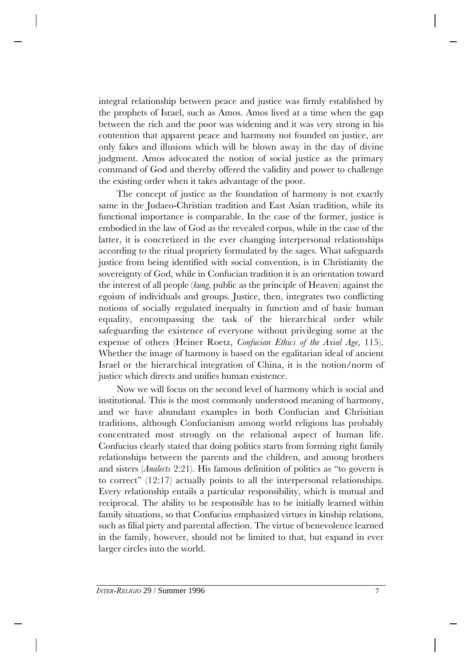integral relationship between peace and justice was firmly established by the prophets of Israel, such as Amos. Amos lived at a time when the gap between the rich and the poor was widening and it was very strong in his contention that apparent peace and harmony not founded on justice, are only fakes and illusions which will be blown away in the day of divine judgment. Amos advocated the notion of social justice as the primary command of God and thereby offered the validity and power to challenge the existing order when it takes advantage of the poor.

The concept of justice as the foundation of harmony is not exactly same in the Judaeo-Christian tradition and East Asian tradition, while its functional importance is comparable. In the case of the former, justice is embodied in the law of God as the revealed corpus, while in the case of the latter, it is concretized in the ever changing interpersonal relationships according to the ritual propriety formulated by the sages. What safeguards justice from being identified with social convention, is in Christianity the sovereignty of God, while in Confucian tradition it is an orientation toward the interest of all people (*kung*, public as the principle of Heaven) against the egoism of individuals and groups. Justice, then, integrates two conflicting notions of socially regulated inequalty in function and of basic human equality, encompassing the task of the hierarchical order while safeguarding the existence of everyone without privileging some at the expense of others (Heiner Roetz, *Confucian Ethics of the Axial Age*, 115). Whether the image of harmony is based on the egalitarian ideal of ancient Israel or the hierarchical integration of China, it is the notion/norm of justice which directs and unifies human existence.

Now we will focus on the second level of harmony which is social and institutional. This is the most commonly understood meaning of harmony, and we have abundant examples in both Confucian and Chrisitian traditions, although Confucianism among world religions has probably concentrated most strongly on the relational aspect of human life. Confucius clearly stated that doing politics starts from forming right family relationships between the parents and the children, and among brothers and sisters (*Analects* 2:21). His famous definition of politics as "to govern is to correct" (12:17) actually points to all the interpersonal relationships. Every relationship entails a particular responsibility, which is mutual and reciprocal. The ability to be responsible has to be initially learned within family situations, so that Confucius emphasized virtues in kinship relations, such as filial piety and parental affection. The virtue of benevolence learned in the family, however, should not be limited to that, but expand in ever larger circles into the world.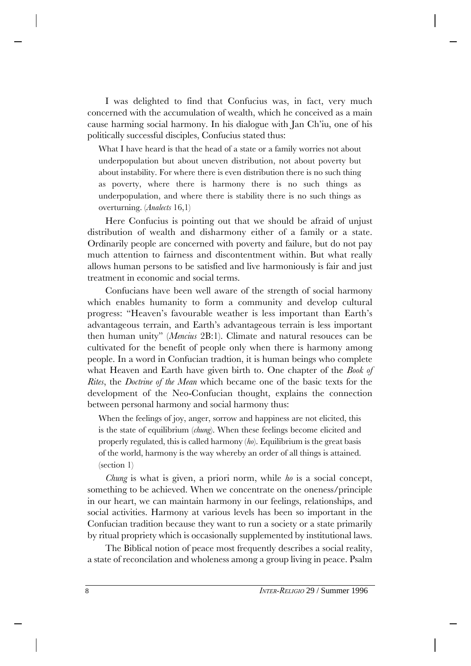I was delighted to find that Confucius was, in fact, very much concerned with the accumulation of wealth, which he conceived as a main cause harming social harmony. In his dialogue with Jan Ch'iu, one of his politically successful disciples, Confucius stated thus:

What I have heard is that the head of a state or a family worries not about underpopulation but about uneven distribution, not about poverty but about instability. For where there is even distribution there is no such thing as poverty, where there is harmony there is no such things as underpopulation, and where there is stability there is no such things as overturning. (*Analects* 16,1)

Here Confucius is pointing out that we should be afraid of unjust distribution of wealth and disharmony either of a family or a state. Ordinarily people are concerned with poverty and failure, but do not pay much attention to fairness and discontentment within. But what really allows human persons to be satisfied and live harmoniously is fair and just treatment in economic and social terms.

Confucians have been well aware of the strength of social harmony which enables humanity to form a community and develop cultural progress: "Heaven's favourable weather is less important than Earth's advantageous terrain, and Earth's advantageous terrain is less important then human unity" (*Mencius* 2B:1). Climate and natural resouces can be cultivated for the benefit of people only when there is harmony among people. In a word in Confucian tradtion, it is human beings who complete what Heaven and Earth have given birth to. One chapter of the *Book of Rites*, the *Doctrine of the Mean* which became one of the basic texts for the development of the Neo-Confucian thought, explains the connection between personal harmony and social harmony thus:

When the feelings of joy, anger, sorrow and happiness are not elicited, this is the state of equilibrium (*chung*). When these feelings become elicited and properly regulated, this is called harmony (*ho*). Equilibrium is the great basis of the world, harmony is the way whereby an order of all things is attained. (section 1)

*Chung* is what is given, a priori norm, while *ho* is a social concept, something to be achieved. When we concentrate on the oneness/principle in our heart, we can maintain harmony in our feelings, relationships, and social activities. Harmony at various levels has been so important in the Confucian tradition because they want to run a society or a state primarily by ritual propriety which is occasionally supplemented by institutional laws.

The Biblical notion of peace most frequently describes a social reality, a state of reconcilation and wholeness among a group living in peace. Psalm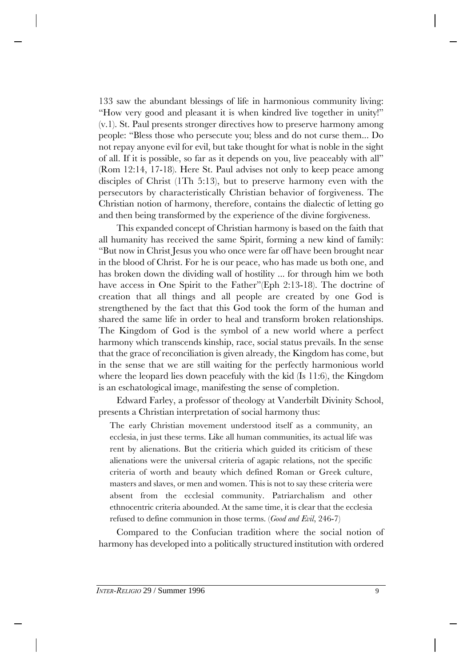133 saw the abundant blessings of life in harmonious community living: "How very good and pleasant it is when kindred live together in unity!" (v.1). St. Paul presents stronger directives how to preserve harmony among people: "Bless those who persecute you; bless and do not curse them... Do not repay anyone evil for evil, but take thought for what is noble in the sight of all. If it is possible, so far as it depends on you, live peaceably with all" (Rom 12:14, 17-18). Here St. Paul advises not only to keep peace among disciples of Christ (1Th 5:13), but to preserve harmony even with the persecutors by characteristically Christian behavior of forgiveness. The Christian notion of harmony, therefore, contains the dialectic of letting go and then being transformed by the experience of the divine forgiveness.

This expanded concept of Christian harmony is based on the faith that all humanity has received the same Spirit, forming a new kind of family: "But now in Christ Jesus you who once were far off have been brought near in the blood of Christ. For he is our peace, who has made us both one, and has broken down the dividing wall of hostility ... for through him we both have access in One Spirit to the Father"(Eph 2:13-18). The doctrine of creation that all things and all people are created by one God is strengthened by the fact that this God took the form of the human and shared the same life in order to heal and transform broken relationships. The Kingdom of God is the symbol of a new world where a perfect harmony which transcends kinship, race, social status prevails. In the sense that the grace of reconciliation is given already, the Kingdom has come, but in the sense that we are still waiting for the perfectly harmonious world where the leopard lies down peacefuly with the kid (Is 11:6), the Kingdom is an eschatological image, manifesting the sense of completion.

Edward Farley, a professor of theology at Vanderbilt Divinity School, presents a Christian interpretation of social harmony thus:

The early Christian movement understood itself as a community, an ecclesia, in just these terms. Like all human communities, its actual life was rent by alienations. But the critieria which guided its criticism of these alienations were the universal criteria of agapic relations, not the specific criteria of worth and beauty which defined Roman or Greek culture, masters and slaves, or men and women. This is not to say these criteria were absent from the ecclesial community. Patriarchalism and other ethnocentric criteria abounded. At the same time, it is clear that the ecclesia refused to define communion in those terms. (*Good and Evil*, 246-7)

Compared to the Confucian tradition where the social notion of harmony has developed into a politically structured institution with ordered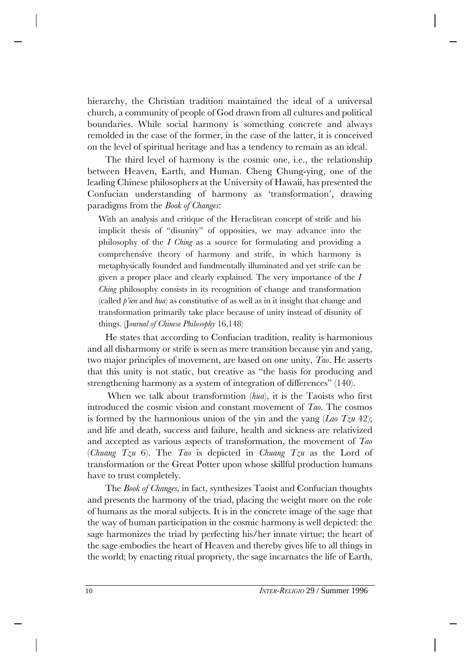hierarchy, the Christian tradition maintained the ideal of a universal church, a community of people of God drawn from all cultures and political boundaries. While social harmony is something concrete and always remolded in the case of the former, in the case of the latter, it is conceived on the level of spiritual heritage and has a tendency to remain as an ideal.

The third level of harmony is the cosmic one, i.e., the relationship between Heaven, Earth, and Human. Cheng Chung-ying, one of the leading Chinese philosophers at the University of Hawaii, has presented the Confucian understanding of harmony as 'transformation', drawing paradigms from the *Book of Changes*:

With an analysis and critique of the Heraclitean concept of strife and his implicit thesis of "disunity" of opposities, we may advance into the philosophy of the *I Ching* as a source for formulating and providing a comprehensive theory of harmony and strife, in which harmony is metaphysically founded and fundmentally illuminated and yet strife can be given a proper place and clearly explained. The very importance of the *I Ching* philosophy consists in its recognition of change and transformation (called *p'ien* and *hua*) as constitutive of as well as in it insight that change and transformation primarily take place because of unity instead of disunity of things. (J*ournal of Chinese Philosophy* 16,148)

He states that according to Confucian tradition, reality is harmonious and all disharmony or strife is seen as mere transition because yin and yang, two major principles of movement, are based on one unity, *Tao*. He asserts that this unity is not static, but creative as "the basis for producing and strengthening harmony as a system of integration of differences" (140).

When we talk about transformtion (*hua*), it is the Taoists who first introduced the cosmic vision and constant movement of *Tao*. The cosmos is formed by the harmonious union of the yin and the yang (*Lao Tzu* 42); and life and death, success and failure, health and sickness are relativized and accepted as various aspects of transformation, the movement of *Tao* (*Chuang Tzu* 6). The *Tao* is depicted in *Chuang Tzu* as the Lord of transformation or the Great Potter upon whose skillful production humans have to trust completely.

The *Book of Changes,* in fact, synthesizes Taoist and Confucian thoughts and presents the harmony of the triad, placing the weight more on the role of humans as the moral subjects. It is in the concrete image of the sage that the way of human participation in the cosmic harmony is well depicted: the sage harmonizes the triad by perfecting his/her innate virtue; the heart of the sage embodies the heart of Heaven and thereby gives life to all things in the world; by enacting ritual propriety, the sage incarnates the life of Earth,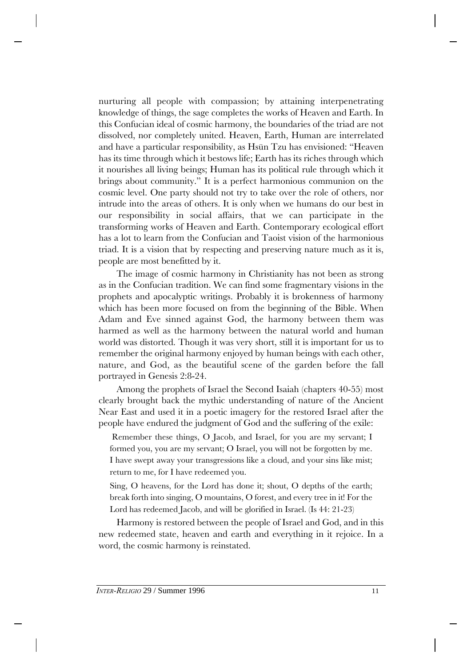nurturing all people with compassion; by attaining interpenetrating knowledge of things, the sage completes the works of Heaven and Earth. In this Confucian ideal of cosmic harmony, the boundaries of the triad are not dissolved, nor completely united. Heaven, Earth, Human are interrelated and have a particular responsibility, as Hsün Tzu has envisioned: "Heaven has its time through which it bestows life; Earth has its riches through which it nourishes all living beings; Human has its political rule through which it brings about community." It is a perfect harmonious communion on the cosmic level. One party should not try to take over the role of others, nor intrude into the areas of others. It is only when we humans do our best in our responsibility in social affairs, that we can participate in the transforming works of Heaven and Earth. Contemporary ecological effort has a lot to learn from the Confucian and Taoist vision of the harmonious triad. It is a vision that by respecting and preserving nature much as it is, people are most benefitted by it.

The image of cosmic harmony in Christianity has not been as strong as in the Confucian tradition. We can find some fragmentary visions in the prophets and apocalyptic writings. Probably it is brokenness of harmony which has been more focused on from the beginning of the Bible. When Adam and Eve sinned against God, the harmony between them was harmed as well as the harmony between the natural world and human world was distorted. Though it was very short, still it is important for us to remember the original harmony enjoyed by human beings with each other, nature, and God, as the beautiful scene of the garden before the fall portrayed in Genesis 2:8-24.

Among the prophets of Israel the Second Isaiah (chapters 40-55) most clearly brought back the mythic understanding of nature of the Ancient Near East and used it in a poetic imagery for the restored Israel after the people have endured the judgment of God and the suffering of the exile:

Remember these things, O Jacob, and Israel, for you are my servant; I formed you, you are my servant; O Israel, you will not be forgotten by me. I have swept away your transgressions like a cloud, and your sins like mist; return to me, for I have redeemed you.

Sing, O heavens, for the Lord has done it; shout, O depths of the earth; break forth into singing, O mountains, O forest, and every tree in it! For the Lord has redeemed Jacob, and will be glorified in Israel. (Is 44: 21-23)

Harmony is restored between the people of Israel and God, and in this new redeemed state, heaven and earth and everything in it rejoice. In a word, the cosmic harmony is reinstated.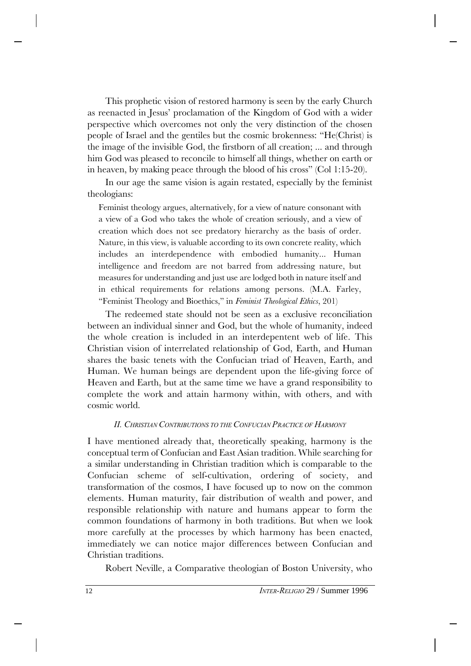This prophetic vision of restored harmony is seen by the early Church as reenacted in Jesus' proclamation of the Kingdom of God with a wider perspective which overcomes not only the very distinction of the chosen people of Israel and the gentiles but the cosmic brokenness: "He(Christ) is the image of the invisible God, the firstborn of all creation; ... and through him God was pleased to reconcile to himself all things, whether on earth or in heaven, by making peace through the blood of his cross" (Col 1:15-20).

In our age the same vision is again restated, especially by the feminist theologians:

Feminist theology argues, alternatively, for a view of nature consonant with a view of a God who takes the whole of creation seriously, and a view of creation which does not see predatory hierarchy as the basis of order. Nature, in this view, is valuable according to its own concrete reality, which includes an interdependence with embodied humanity... Human intelligence and freedom are not barred from addressing nature, but measures for understanding and just use are lodged both in nature itself and in ethical requirements for relations among persons. (M.A. Farley, "Feminist Theology and Bioethics," in *Feminist Theological Ethics*, 201)

The redeemed state should not be seen as a exclusive reconciliation between an individual sinner and God, but the whole of humanity, indeed the whole creation is included in an interdepentent web of life. This Christian vision of interrelated relationship of God, Earth, and Human shares the basic tenets with the Confucian triad of Heaven, Earth, and Human. We human beings are dependent upon the life-giving force of Heaven and Earth, but at the same time we have a grand responsibility to complete the work and attain harmony within, with others, and with cosmic world.

## *II. CHRISTIAN CONTRIBUTIONS TO THE CONFUCIAN PRACTICE OF HARMONY*

I have mentioned already that, theoretically speaking, harmony is the conceptual term of Confucian and East Asian tradition. While searching for a similar understanding in Christian tradition which is comparable to the Confucian scheme of self-cultivation, ordering of society, and transformation of the cosmos, I have focused up to now on the common elements. Human maturity, fair distribution of wealth and power, and responsible relationship with nature and humans appear to form the common foundations of harmony in both traditions. But when we look more carefully at the processes by which harmony has been enacted, immediately we can notice major differences between Confucian and Christian traditions.

Robert Neville, a Comparative theologian of Boston University, who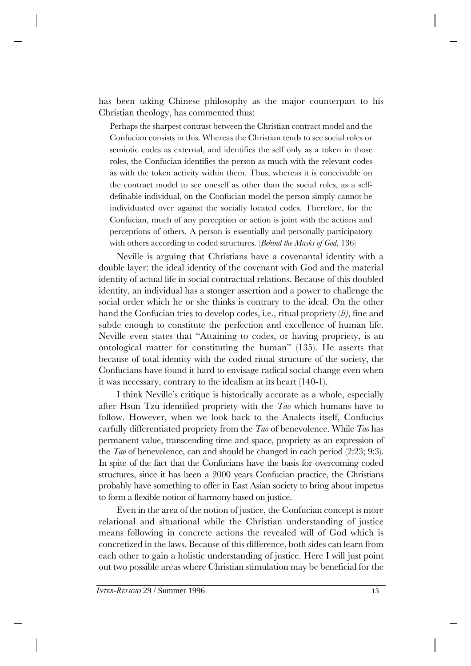has been taking Chinese philosophy as the major counterpart to his Christian theology, has commented thus:

Perhaps the sharpest contrast between the Christian contract model and the Confucian consists in this. Whereas the Christian tends to see social roles or semiotic codes as external, and identifies the self only as a token in those roles, the Confucian identifies the person as much with the relevant codes as with the token activity within them. Thus, whereas it is conceivable on the contract model to see oneself as other than the social roles, as a selfdefinable individual, on the Confucian model the person simply cannot be individuated over against the socially located codes. Therefore, for the Confucian, much of any perception or action is joint with the actions and perceptions of others. A person is essentially and personally participatory with others according to coded structures. (*Behind the Masks of God*, 136)

Neville is arguing that Christians have a covenantal identity with a double layer: the ideal identity of the covenant with God and the material identity of actual life in social contractual relations. Because of this doubled identity, an individual has a stonger assertion and a power to challenge the social order which he or she thinks is contrary to the ideal. On the other hand the Confucian tries to develop codes, i.e., ritual propriety (*li)*, fine and subtle enough to constitute the perfection and excellence of human life. Neville even states that "Attaining to codes, or having propriety, is an ontological matter for constituting the human" (135). He asserts that because of total identity with the coded ritual structure of the society, the Confucians have found it hard to envisage radical social change even when it was necessary, contrary to the idealism at its heart (140-1).

I think Neville's critique is historically accurate as a whole, especially after Hsun Tzu identified propriety with the *Tao* which humans have to follow. However, when we look back to the Analects itself, Confucius carfully differentiated propriety from the *Tao* of benevolence. While *Tao* has permanent value, transcending time and space, propriety as an expression of the *Tao* of benevolence, can and should be changed in each period (2:23; 9:3). In spite of the fact that the Confucians have the basis for overcoming coded structures, since it has been a 2000 years Confucian practice, the Christians probably have something to offer in East Asian society to bring about impetus to form a flexible notion of harmony based on justice.

Even in the area of the notion of justice, the Confucian concept is more relational and situational while the Christian understanding of justice means following in concrete actions the revealed will of God which is concretized in the laws. Because of this difference, both sides can learn from each other to gain a holistic understanding of justice. Here I will just point out two possible areas where Christian stimulation may be beneficial for the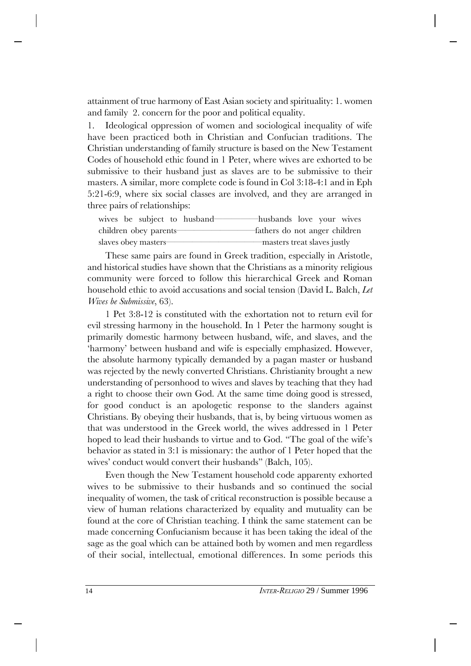attainment of true harmony of East Asian society and spirituality: 1. women and family 2. concern for the poor and political equality.

1. Ideological oppression of women and sociological inequality of wife have been practiced both in Christian and Confucian traditions. The Christian understanding of family structure is based on the New Testament Codes of household ethic found in 1 Peter, where wives are exhorted to be submissive to their husband just as slaves are to be submissive to their masters. A similar, more complete code is found in Col 3:18-4:1 and in Eph 5:21-6:9, where six social classes are involved, and they are arranged in three pairs of relationships:

| wives be subject to husband- | husbands love your wives       |
|------------------------------|--------------------------------|
| children obey parents        | -fathers do not anger children |
| slaves obey masters-         | -masters treat slaves justly   |

These same pairs are found in Greek tradition, especially in Aristotle, and historical studies have shown that the Christians as a minority religious community were forced to follow this hierarchical Greek and Roman household ethic to avoid accusations and social tension (David L. Balch, *Let Wives be Submissive*, 63).

1 Pet 3:8-12 is constituted with the exhortation not to return evil for evil stressing harmony in the household. In 1 Peter the harmony sought is primarily domestic harmony between husband, wife, and slaves, and the 'harmony' between husband and wife is especially emphasized. However, the absolute harmony typically demanded by a pagan master or husband was rejected by the newly converted Christians. Christianity brought a new understanding of personhood to wives and slaves by teaching that they had a right to choose their own God. At the same time doing good is stressed, for good conduct is an apologetic response to the slanders against Christians. By obeying their husbands, that is, by being virtuous women as that was understood in the Greek world, the wives addressed in 1 Peter hoped to lead their husbands to virtue and to God. "The goal of the wife's behavior as stated in 3:1 is missionary: the author of 1 Peter hoped that the wives' conduct would convert their husbands" (Balch, 105).

Even though the New Testament household code apparenty exhorted wives to be submissive to their husbands and so continued the social inequality of women, the task of critical reconstruction is possible because a view of human relations characterized by equality and mutuality can be found at the core of Christian teaching. I think the same statement can be made concerning Confucianism because it has been taking the ideal of the sage as the goal which can be attained both by women and men regardless of their social, intellectual, emotional differences. In some periods this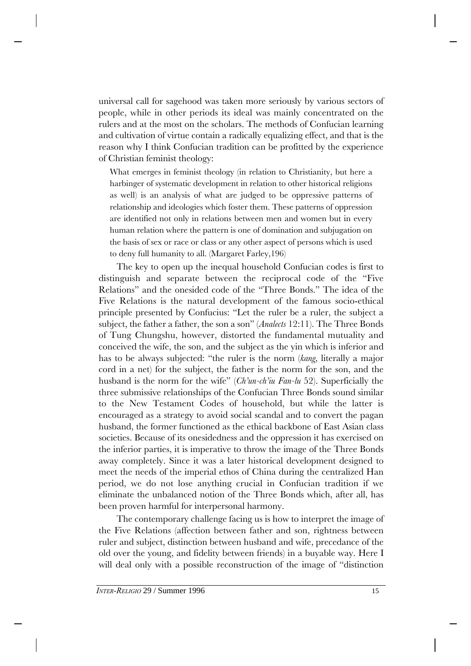universal call for sagehood was taken more seriously by various sectors of people, while in other periods its ideal was mainly concentrated on the rulers and at the most on the scholars. The methods of Confucian learning and cultivation of virtue contain a radically equalizing effect, and that is the reason why I think Confucian tradition can be profitted by the experience of Christian feminist theology:

What emerges in feminist theology (in relation to Christianity, but here a harbinger of systematic development in relation to other historical religions as well) is an analysis of what are judged to be oppressive patterns of relationship and ideologies which foster them. These patterns of oppression are identified not only in relations between men and women but in every human relation where the pattern is one of domination and subjugation on the basis of sex or race or class or any other aspect of persons which is used to deny full humanity to all. (Margaret Farley,196)

The key to open up the inequal household Confucian codes is first to distinguish and separate between the reciprocal code of the "Five Relations" and the onesided code of the "Three Bonds." The idea of the Five Relations is the natural development of the famous socio-ethical principle presented by Confucius: "Let the ruler be a ruler, the subject a subject, the father a father, the son a son" (*Analects* 12:11). The Three Bonds of Tung Chungshu, however, distorted the fundamental mutuality and conceived the wife, the son, and the subject as the yin which is inferior and has to be always subjected: "the ruler is the norm (*kang*, literally a major cord in a net) for the subject, the father is the norm for the son, and the husband is the norm for the wife" (*Ch'un-ch'iu Fan-lu* 52). Superficially the three submissive relationships of the Confucian Three Bonds sound similar to the New Testament Codes of household, but while the latter is encouraged as a strategy to avoid social scandal and to convert the pagan husband, the former functioned as the ethical backbone of East Asian class societies. Because of its onesidedness and the oppression it has exercised on the inferior parties, it is imperative to throw the image of the Three Bonds away completely. Since it was a later historical development designed to meet the needs of the imperial ethos of China during the centralized Han period, we do not lose anything crucial in Confucian tradition if we eliminate the unbalanced notion of the Three Bonds which, after all, has been proven harmful for interpersonal harmony.

The contemporary challenge facing us is how to interpret the image of the Five Relations (affection between father and son, rightness between ruler and subject, distinction between husband and wife, precedance of the old over the young, and fidelity between friends) in a buyable way. Here I will deal only with a possible reconstruction of the image of "distinction"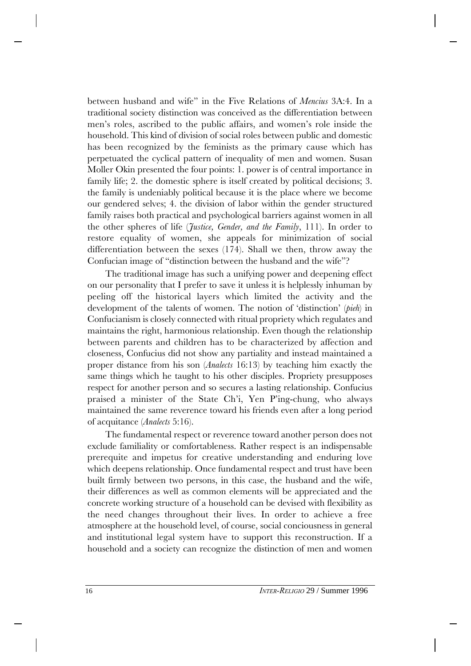between husband and wife" in the Five Relations of *Mencius* 3A:4. In a traditional society distinction was conceived as the differentiation between men's roles, ascribed to the public affairs, and women's role inside the household. This kind of division of social roles between public and domestic has been recognized by the feminists as the primary cause which has perpetuated the cyclical pattern of inequality of men and women. Susan Moller Okin presented the four points: 1. power is of central importance in family life; 2. the domestic sphere is itself created by political decisions; 3. the family is undeniably political because it is the place where we become our gendered selves; 4. the division of labor within the gender structured family raises both practical and psychological barriers against women in all the other spheres of life (*Justice, Gender, and the Family*, 111). In order to restore equality of women, she appeals for minimization of social differentiation between the sexes (174). Shall we then, throw away the Confucian image of "distinction between the husband and the wife"?

The traditional image has such a unifying power and deepening effect on our personality that I prefer to save it unless it is helplessly inhuman by peeling off the historical layers which limited the activity and the development of the talents of women. The notion of 'distinction' (*pieh*) in Confucianism is closely connected with ritual propriety which regulates and maintains the right, harmonious relationship. Even though the relationship between parents and children has to be characterized by affection and closeness, Confucius did not show any partiality and instead maintained a proper distance from his son (*Analects* 16:13) by teaching him exactly the same things which he taught to his other disciples. Propriety presupposes respect for another person and so secures a lasting relationship. Confucius praised a minister of the State Ch'i, Yen P'ing-chung, who always maintained the same reverence toward his friends even after a long period of acquitance (*Analects* 5:16).

The fundamental respect or reverence toward another person does not exclude familiality or comfortableness. Rather respect is an indispensable prerequite and impetus for creative understanding and enduring love which deepens relationship. Once fundamental respect and trust have been built firmly between two persons, in this case, the husband and the wife, their differences as well as common elements will be appreciated and the concrete working structure of a household can be devised with flexibility as the need changes throughout their lives. In order to achieve a free atmosphere at the household level, of course, social conciousness in general and institutional legal system have to support this reconstruction. If a household and a society can recognize the distinction of men and women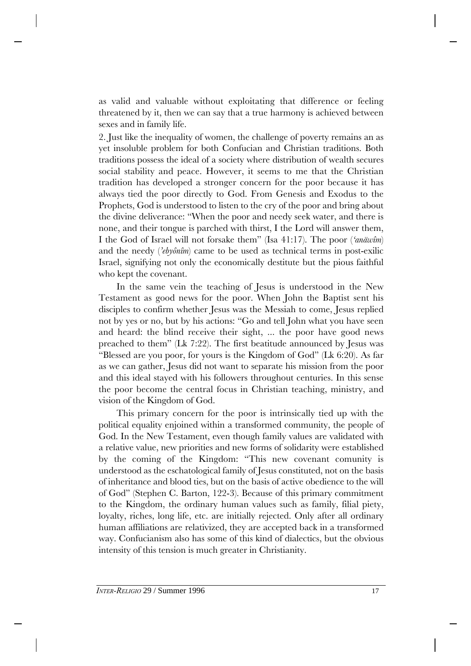as valid and valuable without exploitating that difference or feeling threatened by it, then we can say that a true harmony is achieved between sexes and in family life.

2. Just like the inequality of women, the challenge of poverty remains an as yet insoluble problem for both Confucian and Christian traditions. Both traditions possess the ideal of a society where distribution of wealth secures social stability and peace. However, it seems to me that the Christian tradition has developed a stronger concern for the poor because it has always tied the poor directly to God. From Genesis and Exodus to the Prophets, God is understood to listen to the cry of the poor and bring about the divine deliverance: "When the poor and needy seek water, and there is none, and their tongue is parched with thirst, I the Lord will answer them, I the God of Israel will not forsake them" (Isa 41:17). The poor (*'anäwîm*) and the needy (*'ebyônîm*) came to be used as technical terms in post-exilic Israel, signifying not only the economically destitute but the pious faithful who kept the covenant.

In the same vein the teaching of Jesus is understood in the New Testament as good news for the poor. When John the Baptist sent his disciples to confirm whether Jesus was the Messiah to come, Jesus replied not by yes or no, but by his actions: "Go and tell John what you have seen and heard: the blind receive their sight, ... the poor have good news preached to them" (Lk 7:22). The first beatitude announced by Jesus was "Blessed are you poor, for yours is the Kingdom of God" (Lk 6:20). As far as we can gather, Jesus did not want to separate his mission from the poor and this ideal stayed with his followers throughout centuries. In this sense the poor become the central focus in Christian teaching, ministry, and vision of the Kingdom of God.

This primary concern for the poor is intrinsically tied up with the political equality enjoined within a transformed community, the people of God. In the New Testament, even though family values are validated with a relative value, new priorities and new forms of solidarity were established by the coming of the Kingdom: "This new covenant comunity is understood as the eschatological family of Jesus constituted, not on the basis of inheritance and blood ties, but on the basis of active obedience to the will of God" (Stephen C. Barton, 122-3). Because of this primary commitment to the Kingdom, the ordinary human values such as family, filial piety, loyalty, riches, long life, etc. are initially rejected. Only after all ordinary human affiliations are relativized, they are accepted back in a transformed way. Confucianism also has some of this kind of dialectics, but the obvious intensity of this tension is much greater in Christianity.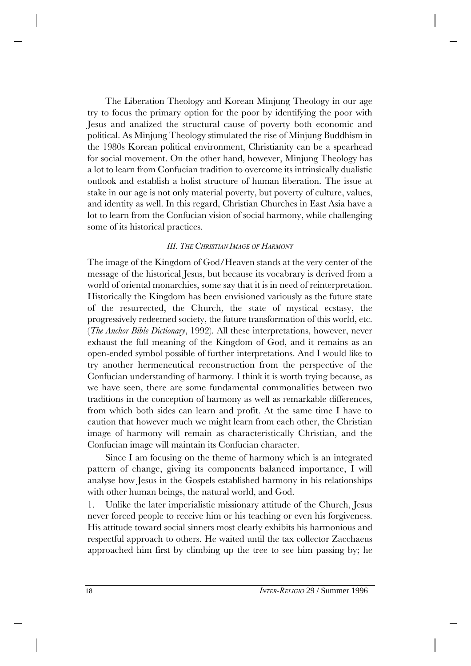The Liberation Theology and Korean Minjung Theology in our age try to focus the primary option for the poor by identifying the poor with Jesus and analized the structural cause of poverty both economic and political. As Minjung Theology stimulated the rise of Minjung Buddhism in the 1980s Korean political environment, Christianity can be a spearhead for social movement. On the other hand, however, Minjung Theology has a lot to learn from Confucian tradition to overcome its intrinsically dualistic outlook and establish a holist structure of human liberation. The issue at stake in our age is not only material poverty, but poverty of culture, values, and identity as well. In this regard, Christian Churches in East Asia have a lot to learn from the Confucian vision of social harmony, while challenging some of its historical practices.

#### *III. THE CHRISTIAN IMAGE OF HARMONY*

The image of the Kingdom of God/Heaven stands at the very center of the message of the historical Jesus, but because its vocabrary is derived from a world of oriental monarchies, some say that it is in need of reinterpretation. Historically the Kingdom has been envisioned variously as the future state of the resurrected, the Church, the state of mystical ecstasy, the progressively redeemed society, the future transformation of this world, etc. (*The Anchor Bible Dictionary*, 1992). All these interpretations, however, never exhaust the full meaning of the Kingdom of God, and it remains as an open-ended symbol possible of further interpretations. And I would like to try another hermeneutical reconstruction from the perspective of the Confucian understanding of harmony. I think it is worth trying because, as we have seen, there are some fundamental commonalities between two traditions in the conception of harmony as well as remarkable differences, from which both sides can learn and profit. At the same time I have to caution that however much we might learn from each other, the Christian image of harmony will remain as characteristically Christian, and the Confucian image will maintain its Confucian character.

Since I am focusing on the theme of harmony which is an integrated pattern of change, giving its components balanced importance, I will analyse how Jesus in the Gospels established harmony in his relationships with other human beings, the natural world, and God.

1. Unlike the later imperialistic missionary attitude of the Church, Jesus never forced people to receive him or his teaching or even his forgiveness. His attitude toward social sinners most clearly exhibits his harmonious and respectful approach to others. He waited until the tax collector Zacchaeus approached him first by climbing up the tree to see him passing by; he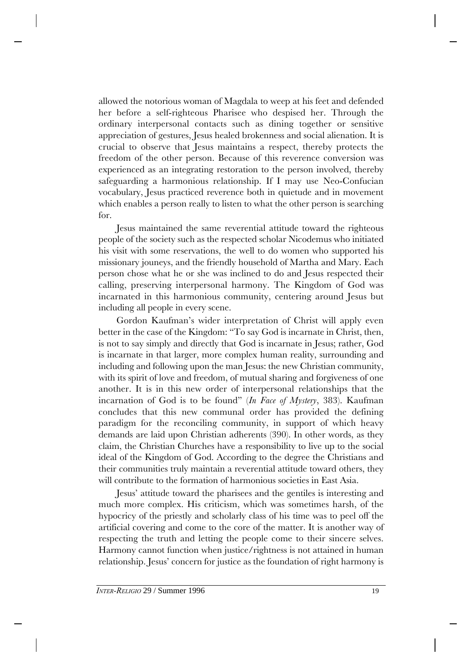allowed the notorious woman of Magdala to weep at his feet and defended her before a self-righteous Pharisee who despised her. Through the ordinary interpersonal contacts such as dining together or sensitive appreciation of gestures, Jesus healed brokenness and social alienation. It is crucial to observe that Jesus maintains a respect, thereby protects the freedom of the other person. Because of this reverence conversion was experienced as an integrating restoration to the person involved, thereby safeguarding a harmonious relationship. If I may use Neo-Confucian vocabulary, Jesus practiced reverence both in quietude and in movement which enables a person really to listen to what the other person is searching for.

Jesus maintained the same reverential attitude toward the righteous people of the society such as the respected scholar Nicodemus who initiated his visit with some reservations, the well to do women who supported his missionary jouneys, and the friendly household of Martha and Mary. Each person chose what he or she was inclined to do and Jesus respected their calling, preserving interpersonal harmony. The Kingdom of God was incarnated in this harmonious community, centering around Jesus but including all people in every scene.

Gordon Kaufman's wider interpretation of Christ will apply even better in the case of the Kingdom: "To say God is incarnate in Christ, then, is not to say simply and directly that God is incarnate in Jesus; rather, God is incarnate in that larger, more complex human reality, surrounding and including and following upon the man Jesus: the new Christian community, with its spirit of love and freedom, of mutual sharing and forgiveness of one another. It is in this new order of interpersonal relationships that the incarnation of God is to be found" (*In Face of Mystery*, 383). Kaufman concludes that this new communal order has provided the defining paradigm for the reconciling community, in support of which heavy demands are laid upon Christian adherents (390). In other words, as they claim, the Christian Churches have a responsibility to live up to the social ideal of the Kingdom of God. According to the degree the Christians and their communities truly maintain a reverential attitude toward others, they will contribute to the formation of harmonious societies in East Asia.

Jesus' attitude toward the pharisees and the gentiles is interesting and much more complex. His criticism, which was sometimes harsh, of the hypocricy of the priestly and scholarly class of his time was to peel off the artificial covering and come to the core of the matter. It is another way of respecting the truth and letting the people come to their sincere selves. Harmony cannot function when justice/rightness is not attained in human relationship. Jesus' concern for justice as the foundation of right harmony is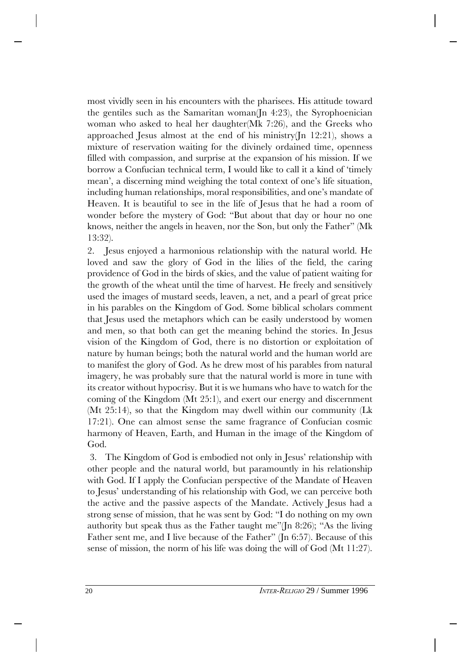most vividly seen in his encounters with the pharisees. His attitude toward the gentiles such as the Samaritan woman(Jn 4:23), the Syrophoenician woman who asked to heal her daughter(Mk 7:26), and the Greeks who approached Jesus almost at the end of his ministry(Jn 12:21), shows a mixture of reservation waiting for the divinely ordained time, openness filled with compassion, and surprise at the expansion of his mission. If we borrow a Confucian technical term, I would like to call it a kind of 'timely mean', a discerning mind weighing the total context of one's life situation, including human relationships, moral responsibilities, and one's mandate of Heaven. It is beautiful to see in the life of Jesus that he had a room of wonder before the mystery of God: "But about that day or hour no one knows, neither the angels in heaven, nor the Son, but only the Father" (Mk 13:32).

2. Jesus enjoyed a harmonious relationship with the natural world. He loved and saw the glory of God in the lilies of the field, the caring providence of God in the birds of skies, and the value of patient waiting for the growth of the wheat until the time of harvest. He freely and sensitively used the images of mustard seeds, leaven, a net, and a pearl of great price in his parables on the Kingdom of God. Some biblical scholars comment that Jesus used the metaphors which can be easily understood by women and men, so that both can get the meaning behind the stories. In Jesus vision of the Kingdom of God, there is no distortion or exploitation of nature by human beings; both the natural world and the human world are to manifest the glory of God. As he drew most of his parables from natural imagery, he was probably sure that the natural world is more in tune with its creator without hypocrisy. But it is we humans who have to watch for the coming of the Kingdom (Mt 25:1), and exert our energy and discernment (Mt 25:14), so that the Kingdom may dwell within our community (Lk 17:21). One can almost sense the same fragrance of Confucian cosmic harmony of Heaven, Earth, and Human in the image of the Kingdom of God.

3. The Kingdom of God is embodied not only in Jesus' relationship with other people and the natural world, but paramountly in his relationship with God. If I apply the Confucian perspective of the Mandate of Heaven to Jesus' understanding of his relationship with God, we can perceive both the active and the passive aspects of the Mandate. Actively Jesus had a strong sense of mission, that he was sent by God: "I do nothing on my own authority but speak thus as the Father taught me"(Jn 8:26); "As the living Father sent me, and I live because of the Father" (Jn 6:57). Because of this sense of mission, the norm of his life was doing the will of God (Mt 11:27).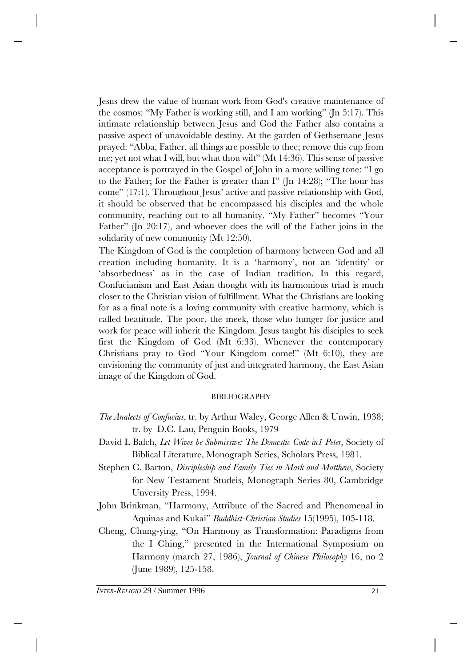Jesus drew the value of human work from God's creative maintenance of the cosmos: "My Father is working still, and I am working" (Jn 5:17). This intimate relationship between Jesus and God the Father also contains a passive aspect of unavoidable destiny. At the garden of Gethsemane Jesus prayed: "Abba, Father, all things are possible to thee; remove this cup from me; yet not what I will, but what thou wilt" (Mt 14:36). This sense of passive acceptance is portrayed in the Gospel of John in a more willing tone: "I go to the Father; for the Father is greater than I" (Jn 14:28); "The hour has come" (17:1). Throughout Jesus' active and passive relationship with God, it should be observed that he encompassed his disciples and the whole community, reaching out to all humanity. "My Father" becomes "Your Father" (Jn 20:17), and whoever does the will of the Father joins in the solidarity of new community (Mt 12:50).

The Kingdom of God is the completion of harmony between God and all creation including humanity. It is a 'harmony', not an 'identity' or 'absorbedness' as in the case of Indian tradition. In this regard, Confucianism and East Asian thought with its harmonious triad is much closer to the Christian vision of fulfillment. What the Christians are looking for as a final note is a loving community with creative harmony, which is called beatitude. The poor, the meek, those who hunger for justice and work for peace will inherit the Kingdom. Jesus taught his disciples to seek first the Kingdom of God (Mt 6:33). Whenever the contemporary Christians pray to God "Your Kingdom come!" (Mt 6:10), they are envisioning the community of just and integrated harmony, the East Asian image of the Kingdom of God.

## BIBLIOGRAPHY

- *The Analects of Confucius*, tr. by Arthur Waley, George Allen & Unwin, 1938; tr. by D.C. Lau, Penguin Books, 1979
- David L Balch, *Let Wives be Submissive: The Domestic Code in1 Peter*, Society of Biblical Literature, Monograph Series, Scholars Press, 1981.
- Stephen C. Barton, *Discipleship and Family Ties in Mark and Matthew*, Society for New Testament Studeis, Monograph Series 80, Cambridge Unversity Press, 1994.
- John Brinkman, "Harmony, Attribute of the Sacred and Phenomenal in Aquinas and Kukai" *Buddhist-Christian Studies* 15(1995), 105-118.
- Cheng, Chung-ying, "On Harmony as Transformation: Paradigms from the I Ching," presented in the International Symposium on Harmony (march 27, 1986), *Journal of Chinese Philosophy* 16, no 2 (June 1989), 125-158.